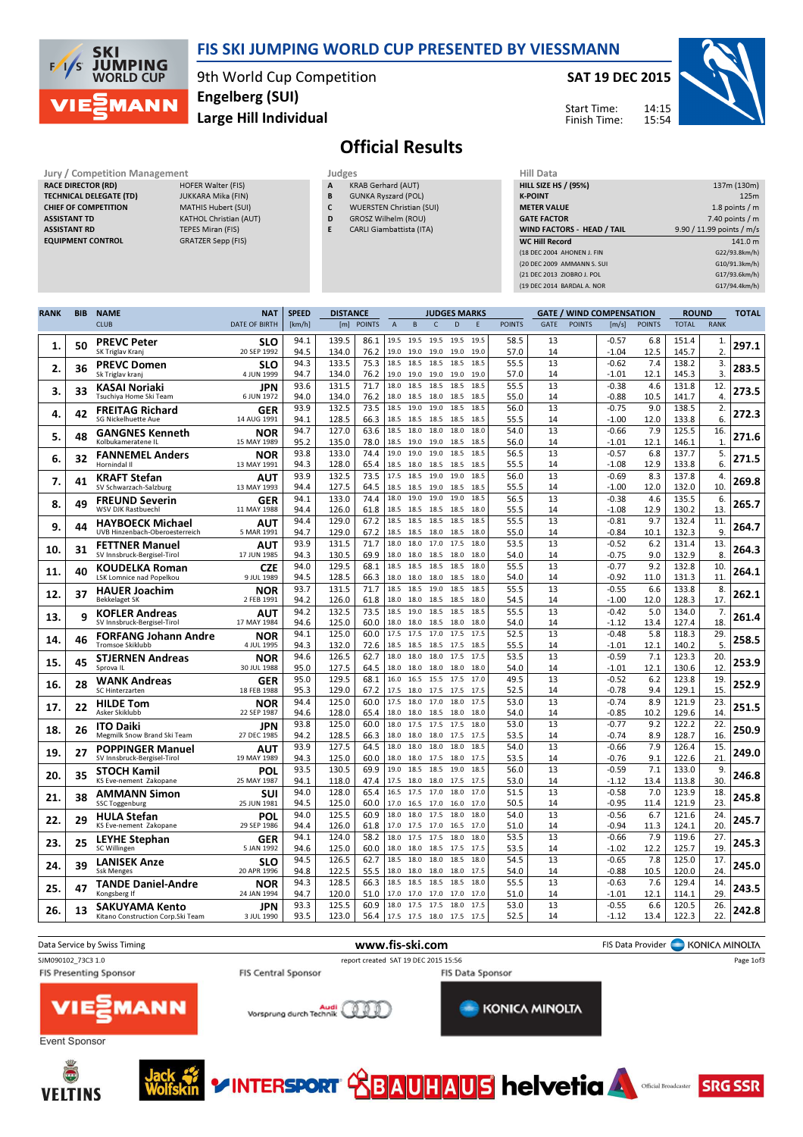

### FIS SKI JUMPING WORLD CUP PRESENTED BY VIESSMANN

9th World Cup Competition Large Hill Individual Engelberg (SUI)

### SAT 19 DEC 2015





# Official Results

Jury / Competition Management Judges<br>
RACE DIRECTOR (RD) HOFER Walter (FIS) A KR RACE DIRECTOR (RD) TECHNICAL DELEGATE (TD) JUKKARA Mika (FIN) CHIEF OF COMPETITION MATHIS Hubert (SUI) ASSISTANT TD KATHOL Christian (AUT) ASSISTANT RD TEPES Miran (FIS)

**VELTINS** 

EQUIPMENT CONTROL GRATZER Sepp (FIS)

KRAB Gerhard (AUT)

- B GUNKA Ryszard (POL)
- C WUERSTEN Christian (SUI) D GROSZ Wilhelm (ROU)
- E CARLI Giambattista (ITA)

| HIII Data                         |                           |
|-----------------------------------|---------------------------|
| <b>HILL SIZE HS / (95%)</b>       | 137m (130m)               |
| <b>K-POINT</b>                    | 125m                      |
| <b>METER VALUE</b>                | 1.8 points $/m$           |
| <b>GATE FACTOR</b>                | $7.40$ points / m         |
| <b>WIND FACTORS - HEAD / TAIL</b> | 9.90 / 11.99 points / m/s |
| <b>WC Hill Record</b>             | 141.0 m                   |
| (18 DEC 2004 AHONEN J. FIN        | G22/93.8km/h)             |
| (20 DEC 2009 AMMANN S. SUI        | G10/91.3km/h)             |
| (21 DEC 2013 ZIOBRO J. POL        | G17/93.6km/h)             |
| (19 DEC 2014 BARDAL A, NOR        | G17/94.4km/h)             |
|                                   |                           |

| <b>RANK</b> | <b>BIB</b> | <b>NAME</b>                                            | <b>NAT</b>                | <b>SPEED</b> | <b>DISTANCE</b><br><b>JUDGES MARKS</b> |               |                |              |              |              | <b>GATE / WIND COMPENSATION</b> |               | <b>ROUND</b> |               | TOTAL              |               |                |             |       |
|-------------|------------|--------------------------------------------------------|---------------------------|--------------|----------------------------------------|---------------|----------------|--------------|--------------|--------------|---------------------------------|---------------|--------------|---------------|--------------------|---------------|----------------|-------------|-------|
|             |            | <b>CLUB</b>                                            | <b>DATE OF BIRTH</b>      | [km/h]       | [m]                                    | <b>POINTS</b> | $\overline{A}$ | B            | $\mathsf{C}$ | D            | F                               | <b>POINTS</b> | <b>GATE</b>  | <b>POINTS</b> | [m/s]              | <b>POINTS</b> | <b>TOTAL</b>   | <b>RANK</b> |       |
| 1.          | 50         | <b>PREVC Peter</b>                                     | <b>SLO</b>                | 94.1         | 139.5                                  | 86.1          | 19.5           | 19.5         | 19.5         | 19.5         | 19.5                            | 58.5          | 13           |               | $-0.57$            | 6.8           | 151.4          | 1.          | 297.1 |
|             |            | SK Triglav Kranj                                       | 20 SEP 1992               | 94.5         | 134.0                                  | 76.2          | 19.0           | 19.0         | 19.0         | 19.0         | 19.0                            | 57.0          | 14           |               | $-1.04$            | 12.5          | 145.7          | 2.          |       |
| 2.          | 36         | <b>PREVC Domen</b><br>Sk Triglav kranj                 | <b>SLO</b><br>4 JUN 1999  | 94.3<br>94.7 | 133.5<br>134.0                         | 75.3<br>76.2  | 18.5<br>19.0   | 18.5<br>19.0 | 18.5<br>19.0 | 18.5<br>19.0 | 18.5<br>19.0                    | 55.5<br>57.0  | 13<br>14     |               | $-0.62$<br>$-1.01$ | 7.4<br>12.1   | 138.2<br>145.3 | 3.<br>3.    | 283.5 |
|             |            | KASAI Noriaki                                          | JPN                       | 93.6         | 131.5                                  | 71.7          | 18.0           | 18.5         | 18.5         | 18.5         | 18.5                            | 55.5          | 13           |               | $-0.38$            | 4.6           | 131.8          | 12.         |       |
| 3.          | 33         | Tsuchiya Home Ski Team                                 | 6 JUN 1972                | 94.0         | 134.0                                  | 76.2          | 18.0           | 18.5         | 18.0         | 18.5         | 18.5                            | 55.0          | 14           |               | $-0.88$            | 10.5          | 141.7          | 4.          | 273.5 |
| 4.          | 42         | <b>FREITAG Richard</b>                                 | GER                       | 93.9         | 132.5                                  | 73.5          | 18.5           | 19.0         | 19.0         | 18.5         | 18.5                            | 56.0          | 13           |               | $-0.75$            | 9.0           | 138.5          | 2.          | 272.3 |
|             |            | SG Nickelhuette Aue                                    | 14 AUG 1991               | 94.1<br>94.7 | 128.5<br>127.0                         | 66.3<br>63.6  | 18.5<br>18.5   | 18.5<br>18.0 | 18.5<br>18.0 | 18.5<br>18.0 | 18.5<br>18.0                    | 55.5<br>54.0  | 14<br>13     |               | $-1.00$<br>$-0.66$ | 12.0<br>7.9   | 133.8<br>125.5 | 6.<br>16.   |       |
| 5.          | 48         | <b>GANGNES Kenneth</b><br>Kolbukameratene IL           | <b>NOR</b><br>15 MAY 1989 | 95.2         | 135.0                                  | 78.0          | 18.5           | 19.0         | 19.0         | 18.5         | 18.5                            | 56.0          | 14           |               | -1.01              | 12.1          | 146.1          | 1.          | 271.6 |
|             |            | <b>FANNEMEL Anders</b>                                 | <b>NOR</b>                | 93.8         | 133.0                                  | 74.4          | 19.0           | 19.0         | 19.0         | 18.5         | 18.5                            | 56.5          | 13           |               | $-0.57$            | 6.8           | 137.7          | 5.          |       |
| 6.          | 32         | Hornindal II                                           | 13 MAY 1991               | 94.3         | 128.0                                  | 65.4          | 18.5           | 18.0         | 18.5         | 18.5         | 18.5                            | 55.5          | 14           |               | $-1.08$            | 12.9          | 133.8          | 6.          | 271.5 |
| 7.          | 41         | <b>KRAFT Stefan</b>                                    | AUT                       | 93.9         | 132.5                                  | 73.5          | 17.5           | 18.5         | 19.0         | 19.0         | 18.5                            | 56.0          | 13           |               | $-0.69$            | 8.3           | 137.8          | 4.          | 269.8 |
|             |            | SV Schwarzach-Salzburg                                 | 13 MAY 1993               | 94.4<br>94.1 | 127.5<br>133.0                         | 64.5<br>74.4  | 18.5<br>18.0   | 18.5<br>19.0 | 19.0<br>19.0 | 18.5<br>19.0 | 18.5<br>18.5                    | 55.5<br>56.5  | 14<br>13     |               | $-1.00$<br>$-0.38$ | 12.0<br>4.6   | 132.0<br>135.5 | 10.<br>6.   |       |
| 8.          | 49         | <b>FREUND Severin</b><br><b>WSV DJK Rastbuechl</b>     | GER<br>11 MAY 1988        | 94.4         | 126.0                                  | 61.8          | 18.5           | 18.5         | 18.5         | 18.5         | 18.0                            | 55.5          | 14           |               | $-1.08$            | 12.9          | 130.2          | 13.         | 265.7 |
| 9.          | 44         | <b>HAYBOECK Michael</b>                                | AUT                       | 94.4         | 129.0                                  | 67.2          | 18.5           | 18.5         | 18.5         | 18.5         | 18.5                            | 55.5          | 13           |               | $-0.81$            | 9.7           | 132.4          | 11.         | 264.7 |
|             |            | UVB Hinzenbach-Oberoesterreich                         | 5 MAR 1991                | 94.7         | 129.0                                  | 67.2          | 18.5           | 18.5         | 18.0         | 18.5         | 18.0                            | 55.0          | 14           |               | $-0.84$            | 10.1          | 132.3          | 9.          |       |
| 10.         | 31         | <b>FETTNER Manuel</b>                                  | AUT                       | 93.9         | 131.5                                  | 71.7          | 18.0           | 18.0         | 17.0         | 17.5         | 18.0                            | 53.5          | 13           |               | $-0.52$            | 6.2           | 131.4          | 13.         | 264.3 |
|             |            | SV Innsbruck-Bergisel-Tirol                            | 17 JUN 1985               | 94.3<br>94.0 | 130.5<br>129.5                         | 69.9<br>68.1  | 18.0<br>18.5   | 18.0<br>18.5 | 18.5<br>18.5 | 18.0<br>18.5 | 18.0<br>18.0                    | 54.0<br>55.5  | 14<br>13     |               | $-0.75$<br>$-0.77$ | 9.0<br>9.2    | 132.9<br>132.8 | 8.<br>10.   |       |
| 11.         | 40         | <b>KOUDELKA Roman</b><br>LSK Lomnice nad Popelkou      | CZE<br>9 JUL 1989         | 94.5         | 128.5                                  | 66.3          | 18.0           | 18.0         | 18.0         | 18.5         | 18.0                            | 54.0          | 14           |               | -0.92              | 11.0          | 131.3          | 11          | 264.1 |
| 12.         | 37         | <b>HAUER Joachim</b>                                   | <b>NOR</b>                | 93.7         | 131.5                                  | 71.7          | 18.5           | 18.5         | 19.0         | 18.5         | 18.5                            | 55.5          | 13           |               | $-0.55$            | 6.6           | 133.8          | 8.          | 262.1 |
|             |            | <b>Bekkelaget SK</b>                                   | 2 FEB 1991                | 94.2         | 126.0                                  | 61.8          | 18.0           | 18.0         | 18.5         | 18.5         | 18.0                            | 54.5          | 14           |               | $-1.00$            | 12.0          | 128.3          | 17.         |       |
| 13.         | 9          | <b>KOFLER Andreas</b>                                  | AUT                       | 94.2         | 132.5                                  | 73.5          | 18.5           | 19.0         | 18.5         | 18.5         | 18.5                            | 55.5          | 13           |               | $-0.42$            | 5.0           | 134.0          | 7.          | 261.4 |
|             |            | SV Innsbruck-Bergisel-Tirol                            | 17 MAY 1984               | 94.6<br>94.1 | 125.0<br>125.0                         | 60.0<br>60.0  | 18.0<br>17.5   | 18.0<br>17.5 | 18.5<br>17.0 | 18.0<br>17.5 | 18.0<br>17.5                    | 54.0<br>52.5  | 14<br>13     |               | $-1.12$<br>$-0.48$ | 13.4<br>5.8   | 127.4<br>118.3 | 18.<br>29.  |       |
| 14.         | 46         | <b>FORFANG Johann Andre</b><br><b>Tromsoe Skiklubb</b> | NOR<br>4 JUL 1995         | 94.3         | 132.0                                  | 72.6          | 18.5           | 18.5         | 18.5         | 17.5         | 18.5                            | 55.5          | 14           |               | $-1.01$            | 12.1          | 140.2          | 5.          | 258.5 |
| 15.         | 45         | <b>STJERNEN Andreas</b>                                | NOR                       | 94.6         | 126.5                                  | 62.7          | 18.0           | 18.0         | 18.0         | 17.5         | 17.5                            | 53.5          | 13           |               | $-0.59$            | 7.1           | 123.3          | 20.         | 253.9 |
|             |            | Sprova IL                                              | 30 JUL 1988               | 95.0         | 127.5                                  | 64.5          | 18.0           | 18.0         | 18.0         | 18.0         | 18.0                            | 54.0          | 14           |               | $-1.01$            | 12.1          | 130.6          | 12          |       |
| 16.         | 28         | <b>WANK Andreas</b><br>SC Hinterzarten                 | GER                       | 95.0         | 129.5                                  | 68.1          | 16.0<br>17.5   | 16.5         | 15.5         | 17.5         | 17.0                            | 49.5          | 13           |               | $-0.52$            | 6.2           | 123.8          | 19.         | 252.9 |
|             |            |                                                        | 18 FEB 1988<br><b>NOR</b> | 95.3<br>94.4 | 129.0<br>125.0                         | 67.2<br>60.0  | 17.5           | 18.0<br>18.0 | 17.5<br>17.0 | 17.5<br>18.0 | 17.5<br>17.5                    | 52.5<br>53.0  | 14<br>13     |               | $-0.78$<br>$-0.74$ | 9.4<br>8.9    | 129.1<br>121.9 | 15.<br>23.  |       |
| 17.         | 22         | <b>HILDE Tom</b><br>Asker Skiklubb                     | 22 SEP 1987               | 94.6         | 128.0                                  | 65.4          | 18.0           | 18.0         | 18.5         | 18.0         | 18.0                            | 54.0          | 14           |               | $-0.85$            | 10.2          | 129.6          | 14.         | 251.5 |
| 18.         | 26         | <b>ITO Daiki</b>                                       | JPN                       | 93.8         | 125.0                                  | 60.0          | 18.0           | 17.5         | 17.5         | 17.5         | 18.0                            | 53.0          | 13           |               | $-0.77$            | 9.2           | 122.2          | 22.         | 250.9 |
|             |            | Megmilk Snow Brand Ski Team                            | 27 DEC 1985               | 94.2         | 128.5                                  | 66.3          | 18.0           | 18.0         | 18.0         | 17.5         | 17.5                            | 53.5          | 14           |               | $-0.74$            | 8.9           | 128.7          | 16.         |       |
| 19.         | 27         | <b>POPPINGER Manuel</b><br>SV Innsbruck-Bergisel-Tirol | ΑUΤ<br>19 MAY 1989        | 93.9<br>94.3 | 127.5<br>125.0                         | 64.5<br>60.0  | 18.0<br>18.0   | 18.0<br>18.0 | 18.0<br>17.5 | 18.0<br>18.0 | 18.5<br>17.5                    | 54.0<br>53.5  | 13<br>14     |               | $-0.66$<br>$-0.76$ | 7.9<br>9.1    | 126.4<br>122.6 | 15.<br>21.  | 249.0 |
|             |            |                                                        | POL                       | 93.5         | 130.5                                  | 69.9          | 19.0           | 18.5         | 18.5         | 19.0         | 18.5                            | 56.0          | 13           |               | $-0.59$            | 7.1           | 133.0          | 9.          |       |
| 20.         | 35         | <b>STOCH Kamil</b><br>KS Eve-nement Zakopane           | 25 MAY 1987               | 94.1         | 118.0                                  | 47.4          | 17.5           | 18.0         | 18.0         | 17.5         | 17.5                            | 53.0          | 14           |               | $-1.12$            | 13.4          | 113.8          | 30.         | 246.8 |
| 21.         | 38         | <b>AMMANN Simon</b>                                    | SUI                       | 94.0         | 128.0                                  | 65.4          | 16.5           | 17.5         | 17.0         | 18.0         | 17.0                            | 51.5          | 13           |               | $-0.58$            | 7.0           | 123.9          | 18.         | 245.8 |
|             |            | <b>SSC Toggenburg</b>                                  | 25 JUN 1981               | 94.5         | 125.0                                  | 60.0          | 17.0           | 16.5         | 17.0         | 16.0         | 17.0                            | 50.5          | 14           |               | $-0.95$            | 11.4          | 121.9          | 23.         |       |
| 22.         | 29         | <b>HULA Stefan</b><br>KS Eve-nement Zakopane           | POL<br>29 SEP 1986        | 94.0<br>94.4 | 125.5<br>126.0                         | 60.9<br>61.8  | 18.0<br>17.0   | 18.0<br>17.5 | 17.5<br>17.0 | 18.0<br>16.5 | 18.0<br>17.0                    | 54.0<br>51.0  | 13<br>14     |               | $-0.56$<br>$-0.94$ | 6.7<br>11.3   | 121.6<br>124.1 | 24.<br>20   | 245.7 |
|             |            | <b>LEYHE Stephan</b>                                   | GER                       | 94.1         | 124.0                                  | 58.2          | 18.0           | 17.5         | 17.5         | 18.0         | 18.0                            | 53.5          | 13           |               | $-0.66$            | 7.9           | 119.6          | 27.         |       |
| 23.         | 25         | SC Willingen                                           | 5 JAN 1992                | 94.6         | 125.0                                  | 60.0          | 18.0           | 18.0         | 18.5         | 17.5         | 17.5                            | 53.5          | 14           |               | $-1.02$            | 12.2          | 125.7          | 19          | 245.3 |
| 24.         | 39         | <b>LANISEK Anze</b>                                    | <b>SLO</b>                | 94.5         | 126.5                                  | 62.7          | 18.5           | 18.0         | 18.0         | 18.5         | 18.0                            | 54.5          | 13           |               | $-0.65$            | 7.8           | 125.0          | 17.         | 245.0 |
|             |            | <b>Ssk Menges</b>                                      | 20 APR 1996               | 94.8         | 122.5                                  | 55.5          | 18.0           | 18.0         | 18.0         | 18.0         | 17.5                            | 54.0          | 14           |               | $-0.88$            | 10.5          | 120.0          | 24.         |       |
| 25.         | 47         | <b>TANDE Daniel-Andre</b><br>Kongsberg If              | <b>NOR</b><br>24 JAN 1994 | 94.3<br>94.7 | 128.5<br>120.0                         | 66.3<br>51.0  | 18.5<br>17.0   | 18.5<br>17.0 | 18.5<br>17.0 | 18.5<br>17.0 | 18.0<br>17.0                    | 55.5<br>51.0  | 13<br>14     |               | $-0.63$<br>$-1.01$ | 7.6<br>12.1   | 129.4<br>114.1 | 14.<br>29   | 243.5 |
|             |            | <b>SAKUYAMA Kento</b>                                  | <b>JPN</b>                | 93.3         | 125.5                                  | 60.9          | 18.0           | 17.5         | 17.5         | 18.0         | 17.5                            | 53.0          | 13           |               | $-0.55$            | 6.6           | 120.5          | 26.         |       |
| 26.         | 13         | Kitano Construction Corp. Ski Team                     | 3 JUL 1990                | 93.5         | 123.0                                  | 56.4          | 17.5           | 17.5         | 18.0         | 17.5         | 17.5                            | 52.5          | 14           |               | $-1.12$            | 13.4          | 122.3          | 22.         | 242.8 |

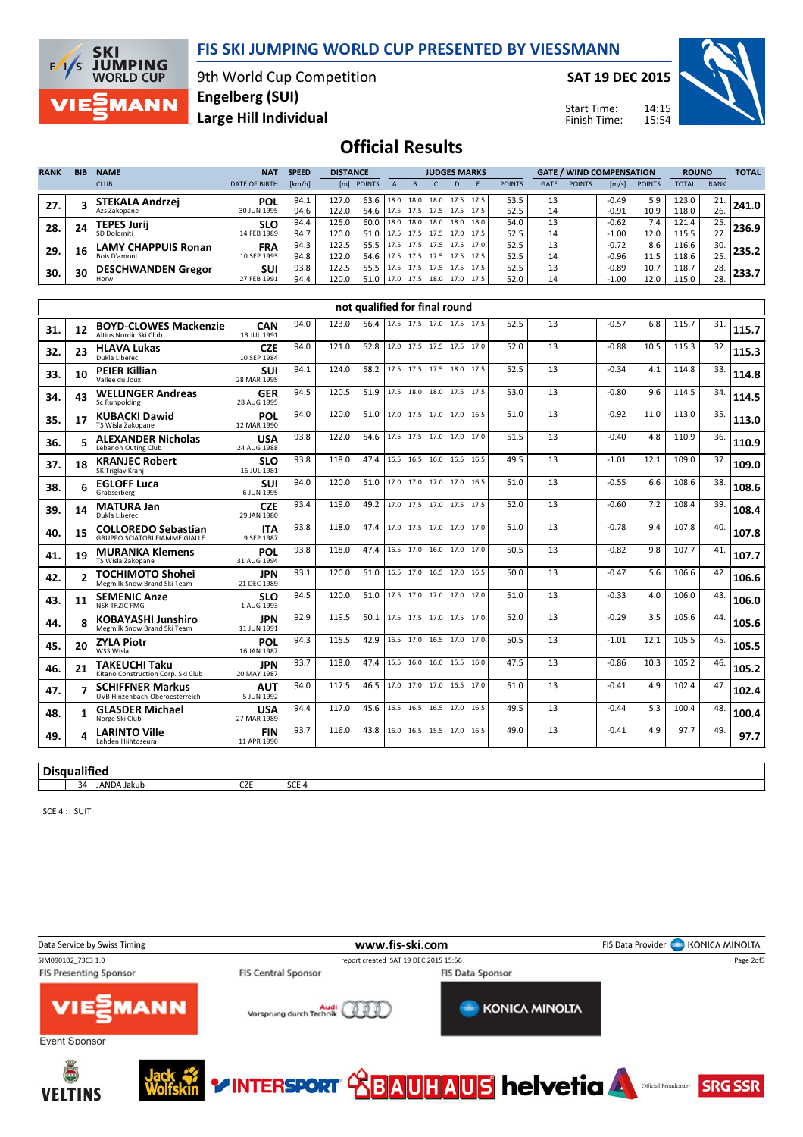

**SKI JUMPING**<br>WORLD CUP  $F/1/S$ **MANN** 

9th World Cup Competition Large Hill Individual Engelberg (SUI)

SAT 19 DEC 2015

Start Time: Finish Time:



## Official Results

| <b>RANK</b> | <b>BIB</b> | <b>NAME</b>               | <b>NAT</b>           | <b>SPEED</b> | <b>DISTANCE</b> | <b>JUDGES MARKS</b> |                     |      |                |      | <b>GATE / WIND COMPENSATION</b> |               |             |               | <b>ROUND</b>          |               | <b>TOTAL</b> |             |       |
|-------------|------------|---------------------------|----------------------|--------------|-----------------|---------------------|---------------------|------|----------------|------|---------------------------------|---------------|-------------|---------------|-----------------------|---------------|--------------|-------------|-------|
|             |            | <b>CLUB</b>               | <b>DATE OF BIRTH</b> | [km/h]       |                 | [m] POINTS          |                     |      |                |      |                                 | <b>POINTS</b> | <b>GATE</b> | <b>POINTS</b> | $\lfloor m/s \rfloor$ | <b>POINTS</b> | <b>TOTAL</b> | <b>RANK</b> |       |
| 27.         |            | <b>STEKALA Andrzej</b>    | <b>POL</b>           | 94.1         | 127.0           | 63.6                | 18.0 18.0           |      | 18.0 17.5      |      | 17.5'                           | 53.5          | 13          |               | $-0.49$               | 5.9           | 123.0        | 21.         | 241.0 |
|             |            | Azs Zakopane              | 30 JUN 1995          | 94.6         | 122.0           | 54.6                | 17.5 17.5 17.5 17.5 |      |                |      | 17.5'                           | 52.5          | 14          |               | $-0.91$               | 10.9          | 118.0        | 26.         |       |
| 28.         | 24         | <b>TEPES Jurii</b>        | <b>SLO</b>           | 94.4         | 125.0           | 60.0                | 18.0 18.0           |      | 18.0           | 18.0 | 18.0                            | 54.0          | 13          |               | $-0.62$               | 7.4           | 121.4        | 25.         | 236.9 |
|             |            | SD Dolomiti               | 14 FEB 1989          | 94.7         | 120.0           | 51.0                | 17.5 17.5 17.5 17.0 |      |                |      | 17.5                            | 52.5          | 14          |               | $-1.00$               | 12.0          | 115.5        | 27.         |       |
| 29.         | 16         | LAMY CHAPPUIS Ronan       | <b>FRA</b>           | 94.3         | 122.5           | 55.5                | 17.5 17.5           |      | 17.5 17.5      |      | 17.0                            | 52.5          | 13          |               | $-0.72$               | 8.6           | 116.6        | 30.         | 235.2 |
|             |            | Bois D'amont              | 10 SEP 1993          | 94.8         | 122.0           | 54.6                | 17.5 17.5 17.5 17.5 |      |                |      | 17.5                            | 52.5          | 14          |               | $-0.96$               | 11.5          | 118.6        | 25.         |       |
|             | 30         | <b>DESCHWANDEN Gregor</b> | <b>SUI</b>           | 93.8         | 122.5           | 55.5                | 17.5                | 17.5 | 17.5           | 17.5 | 17.5                            | 52.5          | 13          |               | $-0.89$               | 10.7          | 118.7        | 28.         | 233.7 |
| 30.         |            | Horw                      | 27 FEB 1991          | 94.4         | 120.0           | 51.0                | 17.0 17.5           |      | 18.0 17.0 17.5 |      |                                 | 52.0          | 14          |               | $-1.00$               | 12.0          | 115.0        | 28.         |       |

|     | not qualified for final round |                                                             |                           |      |       |      |  |                          |  |  |      |    |         |      |       |     |       |
|-----|-------------------------------|-------------------------------------------------------------|---------------------------|------|-------|------|--|--------------------------|--|--|------|----|---------|------|-------|-----|-------|
| 31. | 12                            | <b>BOYD-CLOWES Mackenzie</b><br>Altius Nordic Ski Club      | CAN<br>13 JUL 1991        | 94.0 | 123.0 | 56.4 |  | 17.5 17.5 17.0 17.5 17.5 |  |  | 52.5 | 13 | $-0.57$ | 6.8  | 115.7 | 31. | 115.7 |
| 32. | 23                            | <b>HLAVA Lukas</b><br>Dukla Liberec                         | <b>CZE</b><br>10 SEP 1984 | 94.0 | 121.0 | 52.8 |  | 17.0 17.5 17.5 17.5 17.0 |  |  | 52.0 | 13 | $-0.88$ | 10.5 | 115.3 | 32. | 115.3 |
| 33. | 10                            | <b>PEIER Killian</b><br>Vallee du Joux                      | SUI<br>28 MAR 1995        | 94.1 | 124.0 | 58.2 |  | 17.5 17.5 17.5 18.0 17.5 |  |  | 52.5 | 13 | $-0.34$ | 4.1  | 114.8 | 33. | 114.8 |
| 34. | 43                            | <b>WELLINGER Andreas</b><br>Sc Ruhpolding                   | <b>GER</b><br>28 AUG 1995 | 94.5 | 120.5 | 51.9 |  | 17.5 18.0 18.0 17.5 17.5 |  |  | 53.0 | 13 | $-0.80$ | 9.6  | 114.5 | 34. | 114.5 |
| 35. | 17                            | <b>KUBACKI Dawid</b><br>TS Wisla Zakopane                   | POL<br>12 MAR 1990        | 94.0 | 120.0 | 51.0 |  | 17.0 17.5 17.0 17.0 16.5 |  |  | 51.0 | 13 | $-0.92$ | 11.0 | 113.0 | 35. | 113.0 |
| 36. |                               | <b>ALEXANDER Nicholas</b><br>Lebanon Outing Club            | <b>USA</b><br>24 AUG 1988 | 93.8 | 122.0 | 54.6 |  | 17.5 17.5 17.0 17.0 17.0 |  |  | 51.5 | 13 | $-0.40$ | 4.8  | 110.9 | 36. | 110.9 |
| 37. | 18                            | <b>KRANJEC Robert</b><br>SK Triglav Kranj                   | <b>SLO</b><br>16 JUL 1981 | 93.8 | 118.0 | 47.4 |  | 16.5 16.5 16.0 16.5 16.5 |  |  | 49.5 | 13 | $-1.01$ | 12.1 | 109.0 | 37. | 109.0 |
| 38. |                               | <b>EGLOFF Luca</b><br>Grabserberg                           | <b>SUI</b><br>6 JUN 1995  | 94.0 | 120.0 | 51.0 |  | 17.0 17.0 17.0 17.0 16.5 |  |  | 51.0 | 13 | $-0.55$ | 6.6  | 108.6 | 38. | 108.6 |
| 39. | 14                            | <b>MATURA Jan</b><br>Dukla Liberec                          | <b>CZE</b><br>29 JAN 1980 | 93.4 | 119.0 | 49.2 |  | 17.0 17.5 17.0 17.5 17.5 |  |  | 52.0 | 13 | $-0.60$ | 7.2  | 108.4 | 39. | 108.4 |
| 40. | 15                            | <b>COLLOREDO Sebastian</b><br>GRUPPO SCIATORI FIAMME GIALLE | <b>ITA</b><br>9 SEP 1987  | 93.8 | 118.0 | 47.4 |  | 17.0 17.5 17.0 17.0 17.0 |  |  | 51.0 | 13 | $-0.78$ | 9.4  | 107.8 | 40. | 107.8 |
| 41. | 19                            | <b>MURANKA Klemens</b><br>TS Wisla Zakopane                 | POL<br>31 AUG 1994        | 93.8 | 118.0 | 47.4 |  | 16.5 17.0 16.0 17.0 17.0 |  |  | 50.5 | 13 | $-0.82$ | 9.8  | 107.7 | 41. | 107.7 |
| 42. |                               | <b>TOCHIMOTO Shohei</b><br>Megmilk Snow Brand Ski Team      | <b>JPN</b><br>21 DEC 1989 | 93.1 | 120.0 | 51.0 |  | 16.5 17.0 16.5 17.0 16.5 |  |  | 50.0 | 13 | $-0.47$ | 5.6  | 106.6 | 42. | 106.6 |
| 43. | 11                            | <b>SEMENIC Anze</b><br><b>NSK TRZIC FMG</b>                 | <b>SLO</b><br>1 AUG 1993  | 94.5 | 120.0 | 51.0 |  | 17.5 17.0 17.0 17.0 17.0 |  |  | 51.0 | 13 | $-0.33$ | 4.0  | 106.0 | 43. | 106.0 |
| 44. |                               | <b>KOBAYASHI Junshiro</b><br>Megmilk Snow Brand Ski Team    | <b>JPN</b><br>11 JUN 1991 | 92.9 | 119.5 | 50.1 |  | 17.5 17.5 17.0 17.5 17.0 |  |  | 52.0 | 13 | $-0.29$ | 3.5  | 105.6 | 44. | 105.6 |
| 45. | 20                            | <b>ZYLA Piotr</b><br>WSS Wisla                              | POL<br>16 JAN 1987        | 94.3 | 115.5 | 42.9 |  | 16.5 17.0 16.5 17.0 17.0 |  |  | 50.5 | 13 | $-1.01$ | 12.1 | 105.5 | 45. | 105.5 |
| 46. | 21                            | <b>TAKEUCHI Taku</b><br>Kitano Construction Corp. Ski Club  | <b>JPN</b><br>20 MAY 1987 | 93.7 | 118.0 | 47.4 |  | 15.5 16.0 16.0 15.5 16.0 |  |  | 47.5 | 13 | $-0.86$ | 10.3 | 105.2 | 46. | 105.2 |
| 47. |                               | <b>SCHIFFNER Markus</b><br>UVB Hinzenbach-Oberoesterreich   | <b>AUT</b><br>5 JUN 1992  | 94.0 | 117.5 | 46.5 |  | 17.0 17.0 17.0 16.5 17.0 |  |  | 51.0 | 13 | $-0.41$ | 4.9  | 102.4 | 47. | 102.4 |
| 48. | $\mathbf 1$                   | <b>GLASDER Michael</b><br>Norge Ski Club                    | <b>USA</b><br>27 MAR 1989 | 94.4 | 117.0 | 45.6 |  | 16.5 16.5 16.5 17.0 16.5 |  |  | 49.5 | 13 | $-0.44$ | 5.3  | 100.4 | 48. | 100.4 |
| 49. |                               | <b>LARINTO Ville</b><br>Lahden Hiihtoseura                  | <b>FIN</b><br>11 APR 1990 | 93.7 | 116.0 | 43.8 |  | 16.0 16.5 15.5 17.0 16.5 |  |  | 49.0 | 13 | $-0.41$ | 4.9  | 97.7  | 49. | 97.7  |
|     |                               |                                                             |                           |      |       |      |  |                          |  |  |      |    |         |      |       |     |       |

#### **Disqualified** 34 JANDA Jakub CZE SCE 4

SCE 4 : SUIT